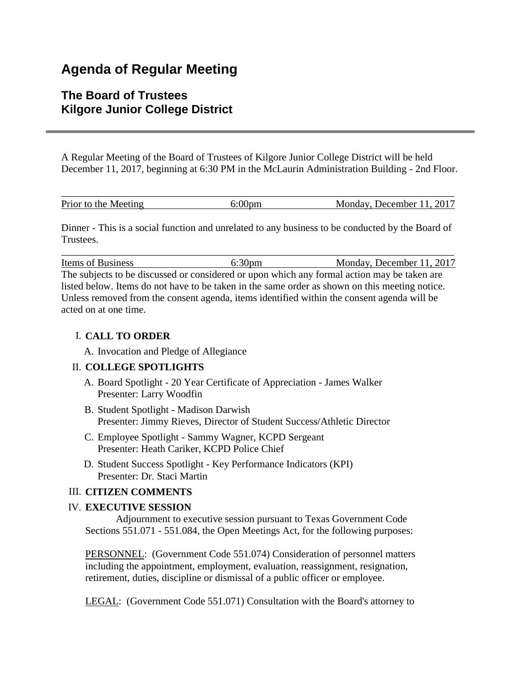# **Agenda of Regular Meeting**

# **The Board of Trustees Kilgore Junior College District**

A Regular Meeting of the Board of Trustees of Kilgore Junior College District will be held December 11, 2017, beginning at 6:30 PM in the McLaurin Administration Building - 2nd Floor.

| Prior to the Meeting | $6:00 \text{pm}$ | Monday, December 11, 2017 |
|----------------------|------------------|---------------------------|

Dinner - This is a social function and unrelated to any business to be conducted by the Board of Trustees.

\_\_\_\_\_\_\_\_\_\_\_\_\_\_\_\_\_\_\_\_\_\_\_\_\_\_\_\_\_\_\_\_\_\_\_\_\_\_\_\_\_\_\_\_\_\_\_\_\_\_\_\_\_\_\_\_\_\_\_\_\_\_\_\_\_\_\_\_\_\_\_\_\_\_\_\_\_ Items of Business 6:30pm Monday, December 11, 2017 The subjects to be discussed or considered or upon which any formal action may be taken are listed below. Items do not have to be taken in the same order as shown on this meeting notice. Unless removed from the consent agenda, items identified within the consent agenda will be acted on at one time.

### I. **CALL TO ORDER**

A. Invocation and Pledge of Allegiance

#### II. **COLLEGE SPOTLIGHTS**

- A. Board Spotlight 20 Year Certificate of Appreciation James Walker Presenter: Larry Woodfin
- B. Student Spotlight Madison Darwish Presenter: Jimmy Rieves, Director of Student Success/Athletic Director
- C. Employee Spotlight Sammy Wagner, KCPD Sergeant Presenter: Heath Cariker, KCPD Police Chief
- D. Student Success Spotlight Key Performance Indicators (KPI) Presenter: Dr. Staci Martin

#### III. **CITIZEN COMMENTS**

#### IV. **EXECUTIVE SESSION**

 Adjournment to executive session pursuant to Texas Government Code Sections 551.071 - 551.084, the Open Meetings Act, for the following purposes:

PERSONNEL: (Government Code 551.074) Consideration of personnel matters including the appointment, employment, evaluation, reassignment, resignation, retirement, duties, discipline or dismissal of a public officer or employee.

LEGAL: (Government Code 551.071) Consultation with the Board's attorney to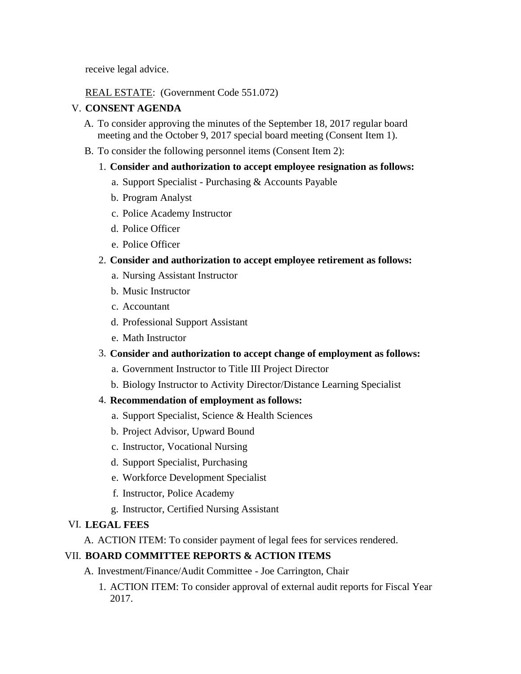receive legal advice.

## REAL ESTATE: (Government Code 551.072)

# V. **CONSENT AGENDA**

- A. To consider approving the minutes of the September 18, 2017 regular board meeting and the October 9, 2017 special board meeting (Consent Item 1).
- B. To consider the following personnel items (Consent Item 2):

#### 1. **Consider and authorization to accept employee resignation as follows:**

- a. Support Specialist Purchasing & Accounts Payable
- b. Program Analyst
- c. Police Academy Instructor
- d. Police Officer
- e. Police Officer
- 2. **Consider and authorization to accept employee retirement as follows:**
	- a. Nursing Assistant Instructor
	- b. Music Instructor
	- c. Accountant
	- d. Professional Support Assistant
	- e. Math Instructor
- 3. **Consider and authorization to accept change of employment as follows:**
	- a. Government Instructor to Title III Project Director
	- b. Biology Instructor to Activity Director/Distance Learning Specialist
- 4. **Recommendation of employment as follows:**
	- a. Support Specialist, Science & Health Sciences
	- b. Project Advisor, Upward Bound
	- c. Instructor, Vocational Nursing
	- d. Support Specialist, Purchasing
	- e. Workforce Development Specialist
	- f. Instructor, Police Academy
	- g. Instructor, Certified Nursing Assistant

# VI. **LEGAL FEES**

A. ACTION ITEM: To consider payment of legal fees for services rendered.

# VII. **BOARD COMMITTEE REPORTS & ACTION ITEMS**

- A. Investment/Finance/Audit Committee Joe Carrington, Chair
	- 1. ACTION ITEM: To consider approval of external audit reports for Fiscal Year 2017.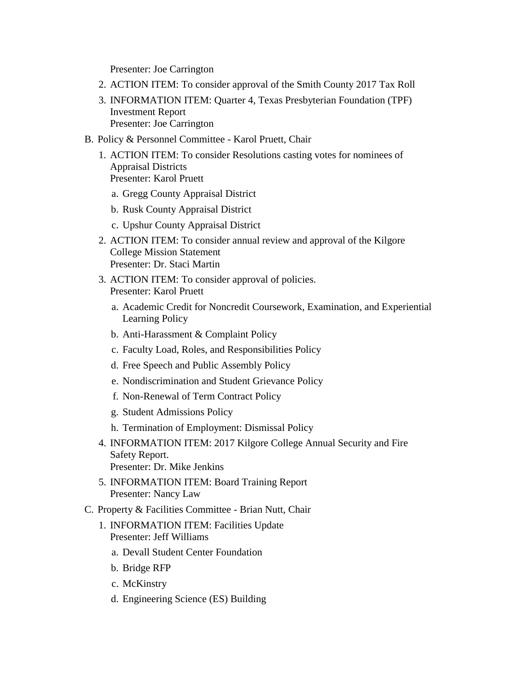Presenter: Joe Carrington

- 2. ACTION ITEM: To consider approval of the Smith County 2017 Tax Roll
- 3. INFORMATION ITEM: Quarter 4, Texas Presbyterian Foundation (TPF) Investment Report Presenter: Joe Carrington
- B. Policy & Personnel Committee Karol Pruett, Chair
	- 1. ACTION ITEM: To consider Resolutions casting votes for nominees of Appraisal Districts Presenter: Karol Pruett
		- a. Gregg County Appraisal District
		- b. Rusk County Appraisal District
		- c. Upshur County Appraisal District
	- 2. ACTION ITEM: To consider annual review and approval of the Kilgore College Mission Statement Presenter: Dr. Staci Martin
	- 3. ACTION ITEM: To consider approval of policies. Presenter: Karol Pruett
		- a. Academic Credit for Noncredit Coursework, Examination, and Experiential Learning Policy
		- b. Anti-Harassment & Complaint Policy
		- c. Faculty Load, Roles, and Responsibilities Policy
		- d. Free Speech and Public Assembly Policy
		- e. Nondiscrimination and Student Grievance Policy
		- f. Non-Renewal of Term Contract Policy
		- g. Student Admissions Policy
		- h. Termination of Employment: Dismissal Policy
	- 4. INFORMATION ITEM: 2017 Kilgore College Annual Security and Fire Safety Report. Presenter: Dr. Mike Jenkins
	- 5. INFORMATION ITEM: Board Training Report Presenter: Nancy Law
- C. Property & Facilities Committee Brian Nutt, Chair
	- 1. INFORMATION ITEM: Facilities Update Presenter: Jeff Williams
		- a. Devall Student Center Foundation
		- b. Bridge RFP
		- c. McKinstry
		- d. Engineering Science (ES) Building